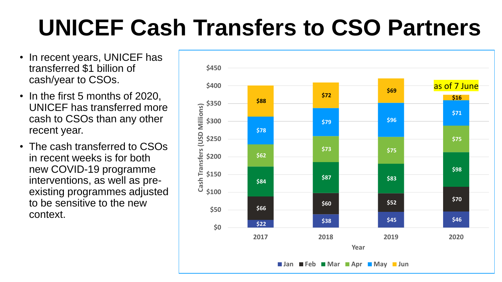## **UNICEF Cash Transfers to CSO Partners**

- In recent years, UNICEF has transferred \$1 billion of cash/year to CSOs.
- In the first 5 months of 2020, UNICEF has transferred more cash to CSOs than any other recent year.
- The cash transferred to CSOs in recent weeks is for both new COVID-19 programme interventions, as well as preexisting programmes adjusted to be sensitive to the new context.

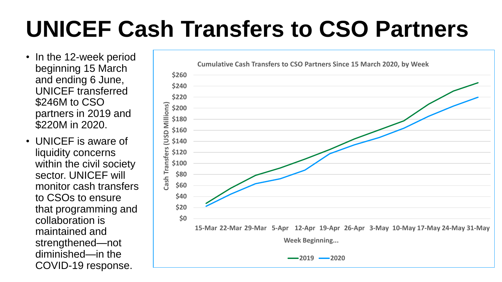## **UNICEF Cash Transfers to CSO Partners**

- In the 12-week period beginning 15 March and ending 6 June, UNICEF transferred \$246M to CSO partners in 2019 and \$220M in 2020.
- UNICEF is aware of liquidity concerns within the civil society sector. UNICEF will monitor cash transfers to CSOs to ensure that programming and collaboration is maintained and strengthened—not diminished—in the COVID-19 response.